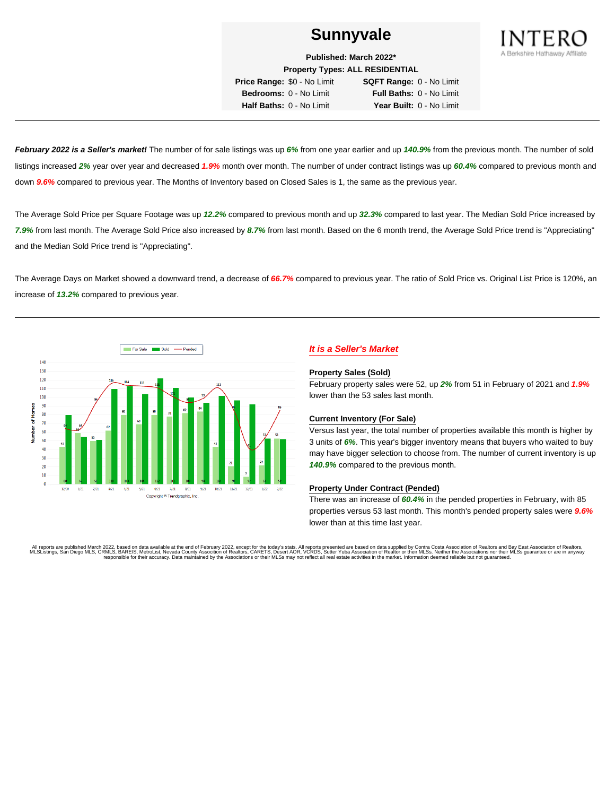

**Published: March 2022\***

**Property Types: ALL RESIDENTIAL Price Range:** \$0 - No Limit **SQFT Range:** 0 - No Limit **Bedrooms:** 0 - No Limit **Full Baths:** 0 - No Limit

**Half Baths:** 0 - No Limit **Year Built:** 0 - No Limit

**February 2022 is a Seller's market!** The number of for sale listings was up **6%** from one year earlier and up **140.9%** from the previous month. The number of sold listings increased **2%** year over year and decreased **1.9%** month over month. The number of under contract listings was up **60.4%** compared to previous month and down **9.6%** compared to previous year. The Months of Inventory based on Closed Sales is 1, the same as the previous year.

The Average Sold Price per Square Footage was up **12.2%** compared to previous month and up **32.3%** compared to last year. The Median Sold Price increased by **7.9%** from last month. The Average Sold Price also increased by **8.7%** from last month. Based on the 6 month trend, the Average Sold Price trend is "Appreciating" and the Median Sold Price trend is "Appreciating".

The Average Days on Market showed a downward trend, a decrease of **66.7%** compared to previous year. The ratio of Sold Price vs. Original List Price is 120%, an increase of **13.2%** compared to previous year.



# **It is a Seller's Market**

#### **Property Sales (Sold)**

February property sales were 52, up **2%** from 51 in February of 2021 and **1.9%** lower than the 53 sales last month.

## **Current Inventory (For Sale)**

Versus last year, the total number of properties available this month is higher by 3 units of **6%**. This year's bigger inventory means that buyers who waited to buy may have bigger selection to choose from. The number of current inventory is up **140.9%** compared to the previous month.

#### **Property Under Contract (Pended)**

There was an increase of **60.4%** in the pended properties in February, with 85 properties versus 53 last month. This month's pended property sales were **9.6%** lower than at this time last year.

All reports are published March 2022, based on data available at the end of February 2022, except for the today's stats. All reports presented are based on data supplied by Contra Costa Association of Realtors and Bay East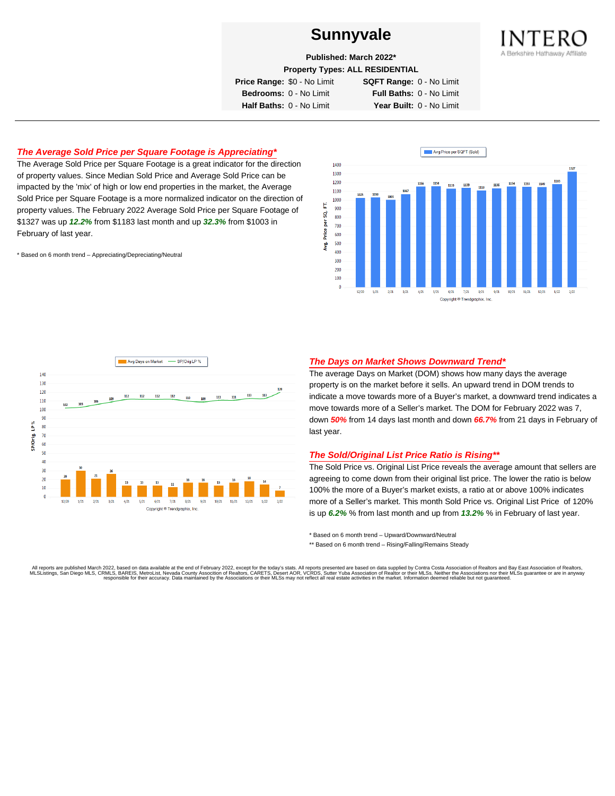

**Published: March 2022\***

**Property Types: ALL RESIDENTIAL**

**Price Range:** \$0 - No Limit **SQFT Range:** 0 - No Limit

**Bedrooms:** 0 - No Limit **Full Baths:** 0 - No Limit **Half Baths:** 0 - No Limit **Year Built:** 0 - No Limit

# **The Average Sold Price per Square Footage is Appreciating\***

The Average Sold Price per Square Footage is a great indicator for the direction of property values. Since Median Sold Price and Average Sold Price can be impacted by the 'mix' of high or low end properties in the market, the Average Sold Price per Square Footage is a more normalized indicator on the direction of property values. The February 2022 Average Sold Price per Square Footage of \$1327 was up **12.2%** from \$1183 last month and up **32.3%** from \$1003 in February of last year.

\* Based on 6 month trend – Appreciating/Depreciating/Neutral





## **The Days on Market Shows Downward Trend\***

The average Days on Market (DOM) shows how many days the average property is on the market before it sells. An upward trend in DOM trends to indicate a move towards more of a Buyer's market, a downward trend indicates a move towards more of a Seller's market. The DOM for February 2022 was 7, down **50%** from 14 days last month and down **66.7%** from 21 days in February of last year.

## **The Sold/Original List Price Ratio is Rising\*\***

The Sold Price vs. Original List Price reveals the average amount that sellers are agreeing to come down from their original list price. The lower the ratio is below 100% the more of a Buyer's market exists, a ratio at or above 100% indicates more of a Seller's market. This month Sold Price vs. Original List Price of 120% is up **6.2%** % from last month and up from **13.2%** % in February of last year.

\* Based on 6 month trend – Upward/Downward/Neutral

\*\* Based on 6 month trend - Rising/Falling/Remains Steady

All reports are published March 2022, based on data available at the end of February 2022, except for the today's stats. All reports presented are based on data supplied by Contra Costa Association of Realtors and Bay East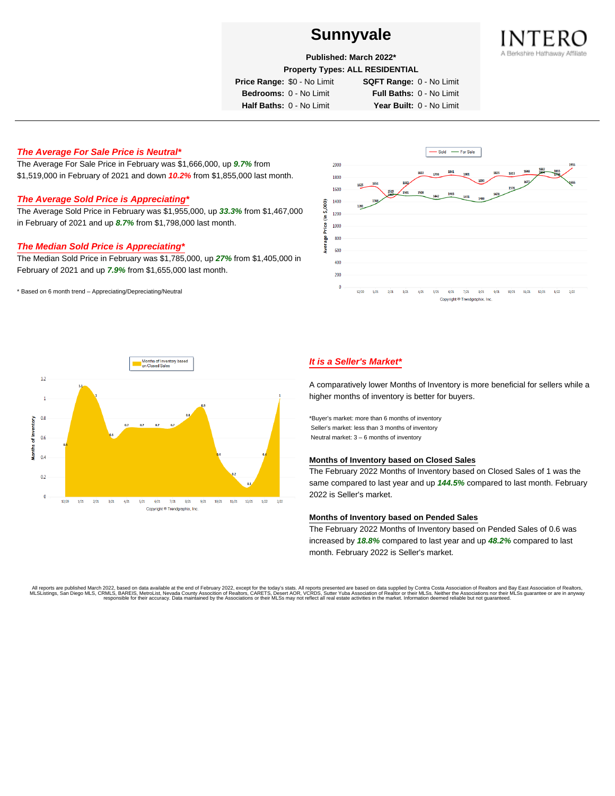

**Published: March 2022\***

**Property Types: ALL RESIDENTIAL**

**Price Range:** \$0 - No Limit **SQFT Range:** 0 - No Limit

**Bedrooms:** 0 - No Limit **Full Baths:** 0 - No Limit **Half Baths:** 0 - No Limit **Year Built:** 0 - No Limit

# **The Average For Sale Price is Neutral\***

The Average For Sale Price in February was \$1,666,000, up **9.7%** from \$1,519,000 in February of 2021 and down **10.2%** from \$1,855,000 last month.

# **The Average Sold Price is Appreciating\***

The Average Sold Price in February was \$1,955,000, up **33.3%** from \$1,467,000 in February of 2021 and up **8.7%** from \$1,798,000 last month.

# **The Median Sold Price is Appreciating\***

The Median Sold Price in February was \$1,785,000, up **27%** from \$1,405,000 in February of 2021 and up **7.9%** from \$1,655,000 last month.

\* Based on 6 month trend – Appreciating/Depreciating/Neutral





# **It is a Seller's Market\***

A comparatively lower Months of Inventory is more beneficial for sellers while a higher months of inventory is better for buyers.

\*Buyer's market: more than 6 months of inventory Seller's market: less than 3 months of inventory Neutral market: 3 – 6 months of inventory

#### **Months of Inventory based on Closed Sales**

The February 2022 Months of Inventory based on Closed Sales of 1 was the same compared to last year and up **144.5%** compared to last month. February 2022 is Seller's market.

## **Months of Inventory based on Pended Sales**

The February 2022 Months of Inventory based on Pended Sales of 0.6 was increased by **18.8%** compared to last year and up **48.2%** compared to last month. February 2022 is Seller's market.

. All reports are published March 2022, based on data available at the end of February 2022, except for the today's stats. All reports presented are based on data supplied by Contra Costa Association of Realtors, San Bread responsible for their accuracy. Data maintained by the Associations or their MLSs may not reflect all real estate activities in the market. Information deemed reliable but not guaranteed.